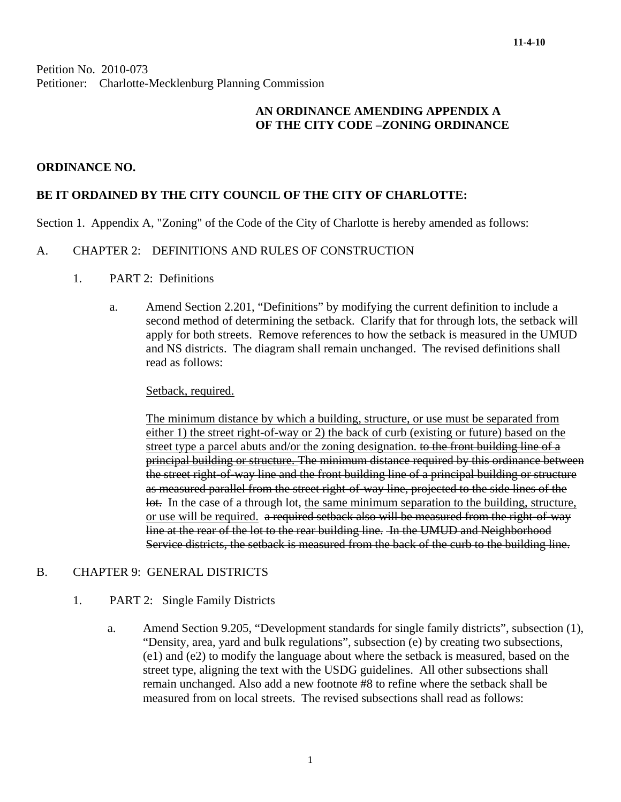Petition No. 2010-073 Petitioner: Charlotte-Mecklenburg Planning Commission

## **AN ORDINANCE AMENDING APPENDIX A OF THE CITY CODE –ZONING ORDINANCE**

### **ORDINANCE NO.**

## **BE IT ORDAINED BY THE CITY COUNCIL OF THE CITY OF CHARLOTTE:**

Section 1. Appendix A, "Zoning" of the Code of the City of Charlotte is hereby amended as follows:

#### A. CHAPTER 2: DEFINITIONS AND RULES OF CONSTRUCTION

- 1. PART 2: Definitions
	- a. Amend Section 2.201, "Definitions" by modifying the current definition to include a second method of determining the setback. Clarify that for through lots, the setback will apply for both streets. Remove references to how the setback is measured in the UMUD and NS districts. The diagram shall remain unchanged. The revised definitions shall read as follows:

#### Setback, required.

The minimum distance by which a building, structure, or use must be separated from either 1) the street right-of-way or 2) the back of curb (existing or future) based on the street type a parcel abuts and/or the zoning designation. to the front building line of a principal building or structure. The minimum distance required by this ordinance between the street right-of-way line and the front building line of a principal building or structure as measured parallel from the street right-of-way line, projected to the side lines of the lot. In the case of a through lot, the same minimum separation to the building, structure, or use will be required. a required setback also will be measured from the right-of-way line at the rear of the lot to the rear building line. In the UMUD and Neighborhood Service districts, the setback is measured from the back of the curb to the building line.

#### B. CHAPTER 9: GENERAL DISTRICTS

#### 1. PART 2: Single Family Districts

a. Amend Section 9.205, "Development standards for single family districts", subsection (1), "Density, area, yard and bulk regulations", subsection (e) by creating two subsections, (e1) and (e2) to modify the language about where the setback is measured, based on the street type, aligning the text with the USDG guidelines. All other subsections shall remain unchanged. Also add a new footnote #8 to refine where the setback shall be measured from on local streets. The revised subsections shall read as follows: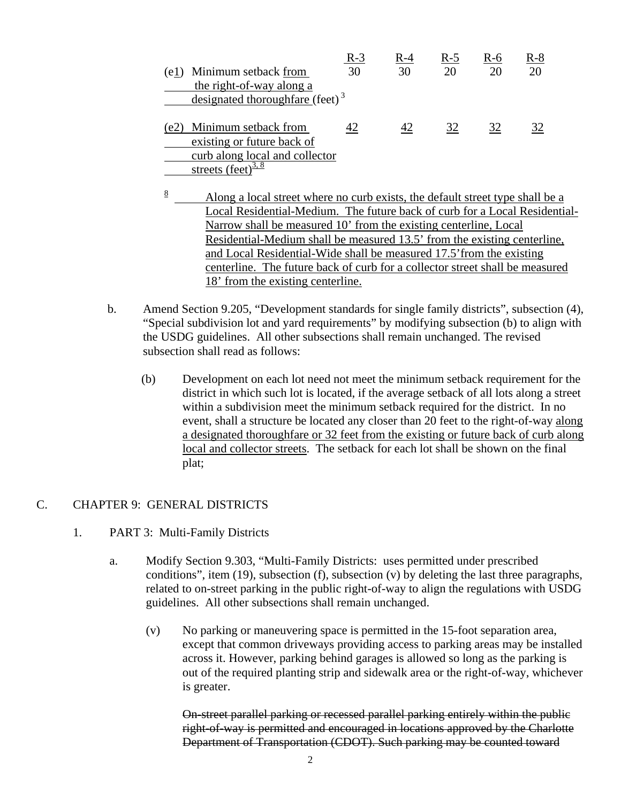|      |                                             | $R-3$ | R-4 | R-5 | R-6 | $R-8$ |
|------|---------------------------------------------|-------|-----|-----|-----|-------|
| (e1) | Minimum setback from                        | 30    | 30  | 20  | 20  | 20    |
|      | the right-of-way along a                    |       |     |     |     |       |
|      | designated thoroughfare (feet) <sup>3</sup> |       |     |     |     |       |
|      |                                             |       |     |     |     |       |
| (e2) | Minimum setback from                        |       | 42  | 32  | 32  |       |
|      | existing or future back of                  |       |     |     |     |       |
|      | curb along local and collector              |       |     |     |     |       |
|      | streets (feet) $\frac{3.8}{3.8}$            |       |     |     |     |       |

- 8 Along a local street where no curb exists, the default street type shall be a Local Residential-Medium. The future back of curb for a Local Residential-Narrow shall be measured 10' from the existing centerline, Local Residential-Medium shall be measured 13.5' from the existing centerline, and Local Residential-Wide shall be measured 17.5'from the existing centerline. The future back of curb for a collector street shall be measured 18' from the existing centerline.
- b. Amend Section 9.205, "Development standards for single family districts", subsection (4), "Special subdivision lot and yard requirements" by modifying subsection (b) to align with the USDG guidelines. All other subsections shall remain unchanged. The revised subsection shall read as follows:
	- (b) Development on each lot need not meet the minimum setback requirement for the district in which such lot is located, if the average setback of all lots along a street within a subdivision meet the minimum setback required for the district. In no event, shall a structure be located any closer than 20 feet to the right-of-way along a designated thoroughfare or 32 feet from the existing or future back of curb along local and collector streets. The setback for each lot shall be shown on the final plat;

## C. CHAPTER 9: GENERAL DISTRICTS

- 1. PART 3: Multi-Family Districts
	- a. Modify Section 9.303, "Multi-Family Districts: uses permitted under prescribed conditions", item  $(19)$ , subsection  $(f)$ , subsection  $(v)$  by deleting the last three paragraphs, related to on-street parking in the public right-of-way to align the regulations with USDG guidelines. All other subsections shall remain unchanged.
		- (v) No parking or maneuvering space is permitted in the 15-foot separation area, except that common driveways providing access to parking areas may be installed across it. However, parking behind garages is allowed so long as the parking is out of the required planting strip and sidewalk area or the right-of-way, whichever is greater.

On-street parallel parking or recessed parallel parking entirely within the public right-of-way is permitted and encouraged in locations approved by the Charlotte Department of Transportation (CDOT). Such parking may be counted toward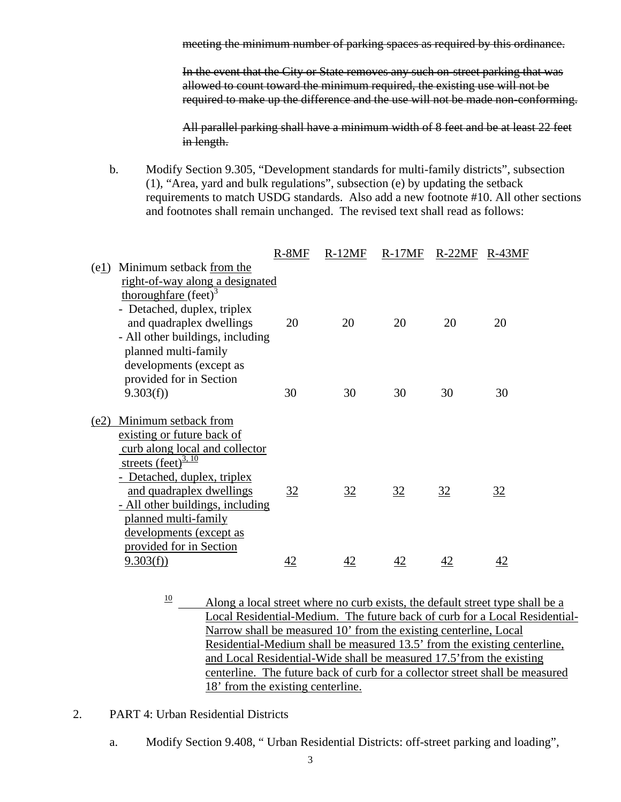meeting the minimum number of parking spaces as required by this ordinance.

In the event that the City or State removes any such on-street parking that was allowed to count toward the minimum required, the existing use will not be required to make up the difference and the use will not be made non-conforming.

All parallel parking shall have a minimum width of 8 feet and be at least 22 feet in length.

b. Modify Section 9.305, "Development standards for multi-family districts", subsection (1), "Area, yard and bulk regulations", subsection (e) by updating the setback requirements to match USDG standards. Also add a new footnote #10. All other sections and footnotes shall remain unchanged. The revised text shall read as follows:

|      |                                  | $R-8MF$ | $R-12MF$ | $R-17MF$ | R-22MF R-43MF |    |
|------|----------------------------------|---------|----------|----------|---------------|----|
| (e1) | Minimum setback from the         |         |          |          |               |    |
|      | right-of-way along a designated  |         |          |          |               |    |
|      | thoroughfare $(\text{feet})^3$   |         |          |          |               |    |
|      | - Detached, duplex, triplex      |         |          |          |               |    |
|      | and quadraplex dwellings         | 20      | 20       | 20       | 20            | 20 |
|      | - All other buildings, including |         |          |          |               |    |
|      | planned multi-family             |         |          |          |               |    |
|      | developments (except as          |         |          |          |               |    |
|      | provided for in Section          |         |          |          |               |    |
|      | 9.303(f)                         | 30      | 30       | 30       | 30            | 30 |
| (e2) | Minimum setback from             |         |          |          |               |    |
|      | existing or future back of       |         |          |          |               |    |
|      | curb along local and collector   |         |          |          |               |    |
|      | streets (feet) $\frac{3, 10}{ }$ |         |          |          |               |    |
|      | - Detached, duplex, triplex      |         |          |          |               |    |
|      | and quadraplex dwellings         | 32      | 32       | 32       | 32            | 32 |
|      | - All other buildings, including |         |          |          |               |    |
|      | planned multi-family             |         |          |          |               |    |
|      | developments (except as          |         |          |          |               |    |
|      | provided for in Section          |         |          |          |               |    |
|      | 9.303(f)                         | 42      | 42       | 42       | 42            | 42 |

- $\frac{10}{10}$  Along a local street where no curb exists, the default street type shall be a Local Residential-Medium. The future back of curb for a Local Residential-Narrow shall be measured 10' from the existing centerline, Local Residential-Medium shall be measured 13.5' from the existing centerline, and Local Residential-Wide shall be measured 17.5'from the existing centerline. The future back of curb for a collector street shall be measured 18' from the existing centerline.
- 2. PART 4: Urban Residential Districts
	- a. Modify Section 9.408, " Urban Residential Districts: off-street parking and loading",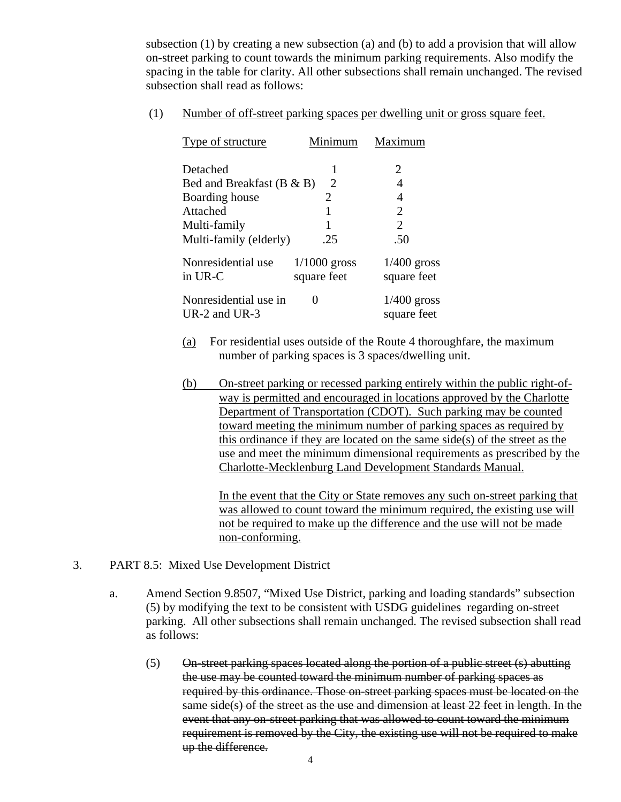subsection (1) by creating a new subsection (a) and (b) to add a provision that will allow on-street parking to count towards the minimum parking requirements. Also modify the spacing in the table for clarity. All other subsections shall remain unchanged. The revised subsection shall read as follows:

(1) Number of off-street parking spaces per dwelling unit or gross square feet.

| Type of structure                      | Minimum                       | Maximum                      |
|----------------------------------------|-------------------------------|------------------------------|
| Detached                               |                               | 2                            |
| Bed and Breakfast $(B & B)$            | 2                             | 4                            |
| Boarding house                         | 2                             | 4                            |
| Attached                               |                               | $\overline{2}$               |
| Multi-family                           |                               | $\overline{2}$               |
| Multi-family (elderly)                 | .25                           | .50                          |
| Nonresidential use<br>in UR-C          | $1/1000$ gross<br>square feet | $1/400$ gross<br>square feet |
| Nonresidential use in<br>UR-2 and UR-3 | $\theta$                      | $1/400$ gross<br>square feet |

- (a) For residential uses outside of the Route 4 thoroughfare, the maximum number of parking spaces is 3 spaces/dwelling unit.
- (b) On-street parking or recessed parking entirely within the public right-ofway is permitted and encouraged in locations approved by the Charlotte Department of Transportation (CDOT). Such parking may be counted toward meeting the minimum number of parking spaces as required by this ordinance if they are located on the same side(s) of the street as the use and meet the minimum dimensional requirements as prescribed by the Charlotte-Mecklenburg Land Development Standards Manual.

In the event that the City or State removes any such on-street parking that was allowed to count toward the minimum required, the existing use will not be required to make up the difference and the use will not be made non-conforming.

- 3. PART 8.5: Mixed Use Development District
	- a. Amend Section 9.8507, "Mixed Use District, parking and loading standards" subsection (5) by modifying the text to be consistent with USDG guidelines regarding on-street parking. All other subsections shall remain unchanged. The revised subsection shall read as follows:
		- (5) On-street parking spaces located along the portion of a public street (s) abutting the use may be counted toward the minimum number of parking spaces as required by this ordinance. Those on-street parking spaces must be located on the same side(s) of the street as the use and dimension at least 22 feet in length. In the event that any on-street parking that was allowed to count toward the minimum requirement is removed by the City, the existing use will not be required to make up the difference.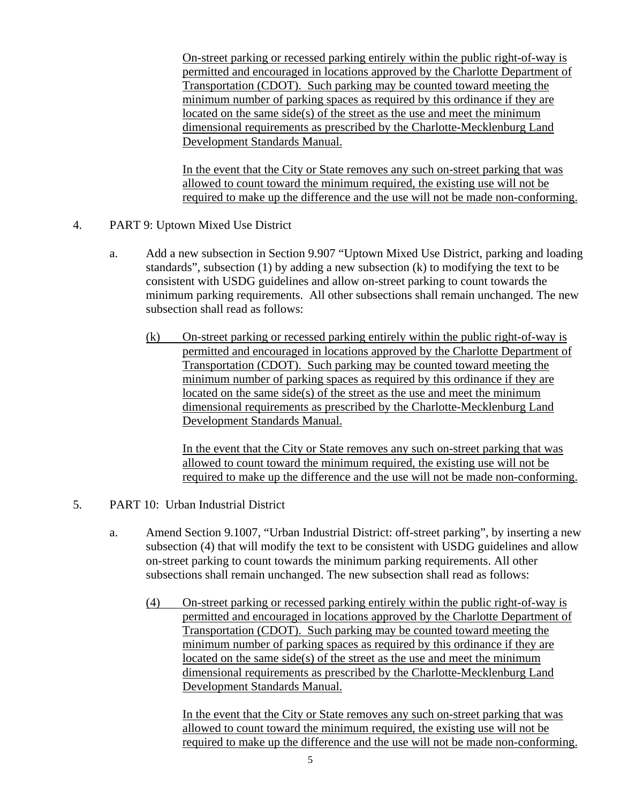On-street parking or recessed parking entirely within the public right-of-way is permitted and encouraged in locations approved by the Charlotte Department of Transportation (CDOT). Such parking may be counted toward meeting the minimum number of parking spaces as required by this ordinance if they are located on the same side(s) of the street as the use and meet the minimum dimensional requirements as prescribed by the Charlotte-Mecklenburg Land Development Standards Manual.

In the event that the City or State removes any such on-street parking that was allowed to count toward the minimum required, the existing use will not be required to make up the difference and the use will not be made non-conforming.

- 4. PART 9: Uptown Mixed Use District
	- a. Add a new subsection in Section 9.907 "Uptown Mixed Use District, parking and loading standards", subsection (1) by adding a new subsection (k) to modifying the text to be consistent with USDG guidelines and allow on-street parking to count towards the minimum parking requirements. All other subsections shall remain unchanged. The new subsection shall read as follows:
		- (k) On-street parking or recessed parking entirely within the public right-of-way is permitted and encouraged in locations approved by the Charlotte Department of Transportation (CDOT). Such parking may be counted toward meeting the minimum number of parking spaces as required by this ordinance if they are located on the same side(s) of the street as the use and meet the minimum dimensional requirements as prescribed by the Charlotte-Mecklenburg Land Development Standards Manual.

In the event that the City or State removes any such on-street parking that was allowed to count toward the minimum required, the existing use will not be required to make up the difference and the use will not be made non-conforming.

- 5. PART 10: Urban Industrial District
	- a. Amend Section 9.1007, "Urban Industrial District: off-street parking", by inserting a new subsection (4) that will modify the text to be consistent with USDG guidelines and allow on-street parking to count towards the minimum parking requirements. All other subsections shall remain unchanged. The new subsection shall read as follows:
		- (4) On-street parking or recessed parking entirely within the public right-of-way is permitted and encouraged in locations approved by the Charlotte Department of Transportation (CDOT). Such parking may be counted toward meeting the minimum number of parking spaces as required by this ordinance if they are located on the same side(s) of the street as the use and meet the minimum dimensional requirements as prescribed by the Charlotte-Mecklenburg Land Development Standards Manual.

In the event that the City or State removes any such on-street parking that was allowed to count toward the minimum required, the existing use will not be required to make up the difference and the use will not be made non-conforming.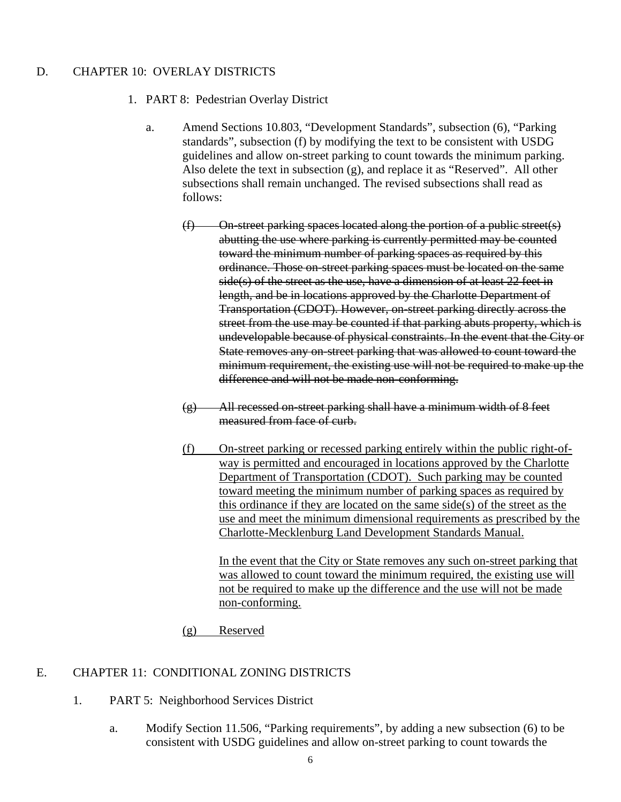## D. CHAPTER 10: OVERLAY DISTRICTS

- 1. PART 8: Pedestrian Overlay District
	- a. Amend Sections 10.803, "Development Standards", subsection (6), "Parking standards", subsection (f) by modifying the text to be consistent with USDG guidelines and allow on-street parking to count towards the minimum parking. Also delete the text in subsection (g), and replace it as "Reserved". All other subsections shall remain unchanged. The revised subsections shall read as follows:
		- (f) On-street parking spaces located along the portion of a public street(s) abutting the use where parking is currently permitted may be counted toward the minimum number of parking spaces as required by this ordinance. Those on-street parking spaces must be located on the same side(s) of the street as the use, have a dimension of at least 22 feet in length, and be in locations approved by the Charlotte Department of Transportation (CDOT). However, on-street parking directly across the street from the use may be counted if that parking abuts property, which is undevelopable because of physical constraints. In the event that the City or State removes any on-street parking that was allowed to count toward the minimum requirement, the existing use will not be required to make up the difference and will not be made non-conforming.
		- (g) All recessed on-street parking shall have a minimum width of 8 feet measured from face of curb.
		- (f) On-street parking or recessed parking entirely within the public right-ofway is permitted and encouraged in locations approved by the Charlotte Department of Transportation (CDOT). Such parking may be counted toward meeting the minimum number of parking spaces as required by this ordinance if they are located on the same side(s) of the street as the use and meet the minimum dimensional requirements as prescribed by the Charlotte-Mecklenburg Land Development Standards Manual.

In the event that the City or State removes any such on-street parking that was allowed to count toward the minimum required, the existing use will not be required to make up the difference and the use will not be made non-conforming.

(g) Reserved

#### E. CHAPTER 11: CONDITIONAL ZONING DISTRICTS

- 1. PART 5: Neighborhood Services District
	- a. Modify Section 11.506, "Parking requirements", by adding a new subsection (6) to be consistent with USDG guidelines and allow on-street parking to count towards the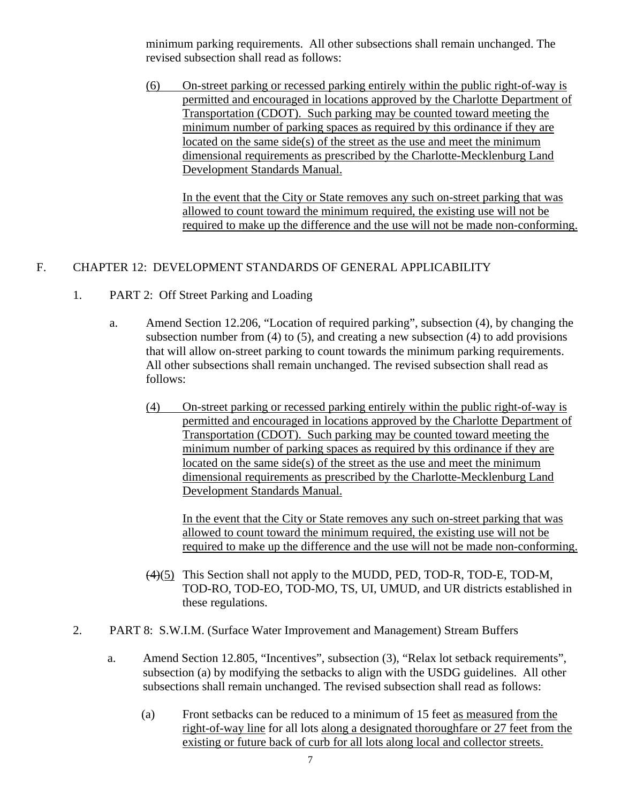minimum parking requirements. All other subsections shall remain unchanged. The revised subsection shall read as follows:

(6) On-street parking or recessed parking entirely within the public right-of-way is permitted and encouraged in locations approved by the Charlotte Department of Transportation (CDOT). Such parking may be counted toward meeting the minimum number of parking spaces as required by this ordinance if they are located on the same side(s) of the street as the use and meet the minimum dimensional requirements as prescribed by the Charlotte-Mecklenburg Land Development Standards Manual.

In the event that the City or State removes any such on-street parking that was allowed to count toward the minimum required, the existing use will not be required to make up the difference and the use will not be made non-conforming.

# F. CHAPTER 12: DEVELOPMENT STANDARDS OF GENERAL APPLICABILITY

- 1. PART 2: Off Street Parking and Loading
	- a. Amend Section 12.206, "Location of required parking", subsection (4), by changing the subsection number from (4) to (5), and creating a new subsection (4) to add provisions that will allow on-street parking to count towards the minimum parking requirements. All other subsections shall remain unchanged. The revised subsection shall read as follows:
		- (4) On-street parking or recessed parking entirely within the public right-of-way is permitted and encouraged in locations approved by the Charlotte Department of Transportation (CDOT). Such parking may be counted toward meeting the minimum number of parking spaces as required by this ordinance if they are located on the same side(s) of the street as the use and meet the minimum dimensional requirements as prescribed by the Charlotte-Mecklenburg Land Development Standards Manual.

In the event that the City or State removes any such on-street parking that was allowed to count toward the minimum required, the existing use will not be required to make up the difference and the use will not be made non-conforming.

- (4)(5) This Section shall not apply to the MUDD, PED, TOD-R, TOD-E, TOD-M, TOD-RO, TOD-EO, TOD-MO, TS, UI, UMUD, and UR districts established in these regulations.
- 2. PART 8: S.W.I.M. (Surface Water Improvement and Management) Stream Buffers
	- a. Amend Section 12.805, "Incentives", subsection (3), "Relax lot setback requirements", subsection (a) by modifying the setbacks to align with the USDG guidelines. All other subsections shall remain unchanged. The revised subsection shall read as follows:
		- (a) Front setbacks can be reduced to a minimum of 15 feet as measured from the right-of-way line for all lots along a designated thoroughfare or 27 feet from the existing or future back of curb for all lots along local and collector streets.